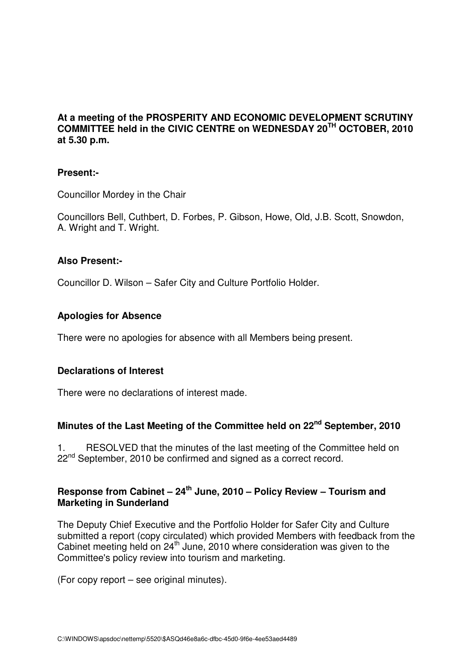### **At a meeting of the PROSPERITY AND ECONOMIC DEVELOPMENT SCRUTINY COMMITTEE held in the CIVIC CENTRE on WEDNESDAY 20TH OCTOBER, 2010 at 5.30 p.m.**

### **Present:-**

Councillor Mordey in the Chair

Councillors Bell, Cuthbert, D. Forbes, P. Gibson, Howe, Old, J.B. Scott, Snowdon, A. Wright and T. Wright.

#### **Also Present:-**

Councillor D. Wilson – Safer City and Culture Portfolio Holder.

#### **Apologies for Absence**

There were no apologies for absence with all Members being present.

#### **Declarations of Interest**

There were no declarations of interest made.

# **Minutes of the Last Meeting of the Committee held on 22nd September, 2010**

1. RESOLVED that the minutes of the last meeting of the Committee held on 22<sup>nd</sup> September, 2010 be confirmed and signed as a correct record.

## **Response from Cabinet – 24th June, 2010 – Policy Review – Tourism and Marketing in Sunderland**

The Deputy Chief Executive and the Portfolio Holder for Safer City and Culture submitted a report (copy circulated) which provided Members with feedback from the Cabinet meeting held on  $24<sup>th</sup>$  June, 2010 where consideration was given to the Committee's policy review into tourism and marketing.

(For copy report – see original minutes).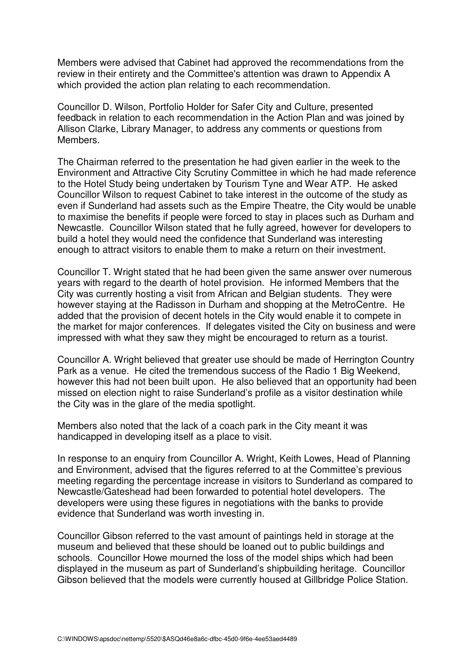Members were advised that Cabinet had approved the recommendations from the review in their entirety and the Committee's attention was drawn to Appendix A which provided the action plan relating to each recommendation.

Councillor D. Wilson, Portfolio Holder for Safer City and Culture, presented feedback in relation to each recommendation in the Action Plan and was joined by Allison Clarke, Library Manager, to address any comments or questions from Members.

The Chairman referred to the presentation he had given earlier in the week to the Environment and Attractive City Scrutiny Committee in which he had made reference to the Hotel Study being undertaken by Tourism Tyne and Wear ATP. He asked Councillor Wilson to request Cabinet to take interest in the outcome of the study as even if Sunderland had assets such as the Empire Theatre, the City would be unable to maximise the benefits if people were forced to stay in places such as Durham and Newcastle. Councillor Wilson stated that he fully agreed, however for developers to build a hotel they would need the confidence that Sunderland was interesting enough to attract visitors to enable them to make a return on their investment.

Councillor T. Wright stated that he had been given the same answer over numerous years with regard to the dearth of hotel provision. He informed Members that the City was currently hosting a visit from African and Belgian students. They were however staying at the Radisson in Durham and shopping at the MetroCentre. He added that the provision of decent hotels in the City would enable it to compete in the market for major conferences. If delegates visited the City on business and were impressed with what they saw they might be encouraged to return as a tourist.

Councillor A. Wright believed that greater use should be made of Herrington Country Park as a venue. He cited the tremendous success of the Radio 1 Big Weekend, however this had not been built upon. He also believed that an opportunity had been missed on election night to raise Sunderland's profile as a visitor destination while the City was in the glare of the media spotlight.

Members also noted that the lack of a coach park in the City meant it was handicapped in developing itself as a place to visit.

In response to an enquiry from Councillor A. Wright, Keith Lowes, Head of Planning and Environment, advised that the figures referred to at the Committee's previous meeting regarding the percentage increase in visitors to Sunderland as compared to Newcastle/Gateshead had been forwarded to potential hotel developers. The developers were using these figures in negotiations with the banks to provide evidence that Sunderland was worth investing in.

Councillor Gibson referred to the vast amount of paintings held in storage at the museum and believed that these should be loaned out to public buildings and schools. Councillor Howe mourned the loss of the model ships which had been displayed in the museum as part of Sunderland's shipbuilding heritage. Councillor Gibson believed that the models were currently housed at Gillbridge Police Station.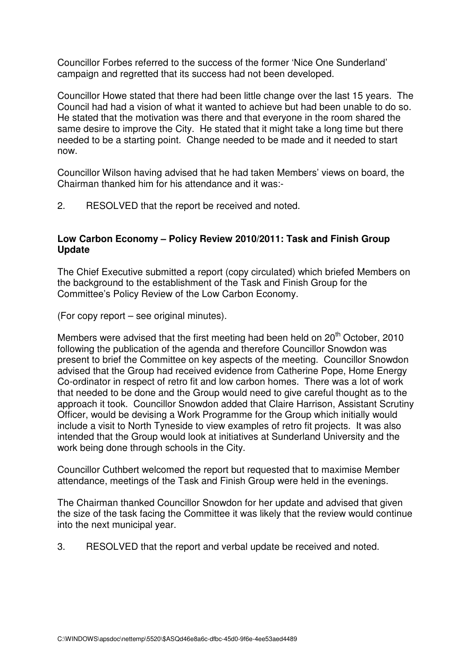Councillor Forbes referred to the success of the former 'Nice One Sunderland' campaign and regretted that its success had not been developed.

Councillor Howe stated that there had been little change over the last 15 years. The Council had had a vision of what it wanted to achieve but had been unable to do so. He stated that the motivation was there and that everyone in the room shared the same desire to improve the City. He stated that it might take a long time but there needed to be a starting point. Change needed to be made and it needed to start now.

Councillor Wilson having advised that he had taken Members' views on board, the Chairman thanked him for his attendance and it was:-

2. RESOLVED that the report be received and noted.

# **Low Carbon Economy – Policy Review 2010/2011: Task and Finish Group Update**

The Chief Executive submitted a report (copy circulated) which briefed Members on the background to the establishment of the Task and Finish Group for the Committee's Policy Review of the Low Carbon Economy.

(For copy report – see original minutes).

Members were advised that the first meeting had been held on 20<sup>th</sup> October, 2010 following the publication of the agenda and therefore Councillor Snowdon was present to brief the Committee on key aspects of the meeting. Councillor Snowdon advised that the Group had received evidence from Catherine Pope, Home Energy Co-ordinator in respect of retro fit and low carbon homes. There was a lot of work that needed to be done and the Group would need to give careful thought as to the approach it took. Councillor Snowdon added that Claire Harrison, Assistant Scrutiny Officer, would be devising a Work Programme for the Group which initially would include a visit to North Tyneside to view examples of retro fit projects. It was also intended that the Group would look at initiatives at Sunderland University and the work being done through schools in the City.

Councillor Cuthbert welcomed the report but requested that to maximise Member attendance, meetings of the Task and Finish Group were held in the evenings.

The Chairman thanked Councillor Snowdon for her update and advised that given the size of the task facing the Committee it was likely that the review would continue into the next municipal year.

3. RESOLVED that the report and verbal update be received and noted.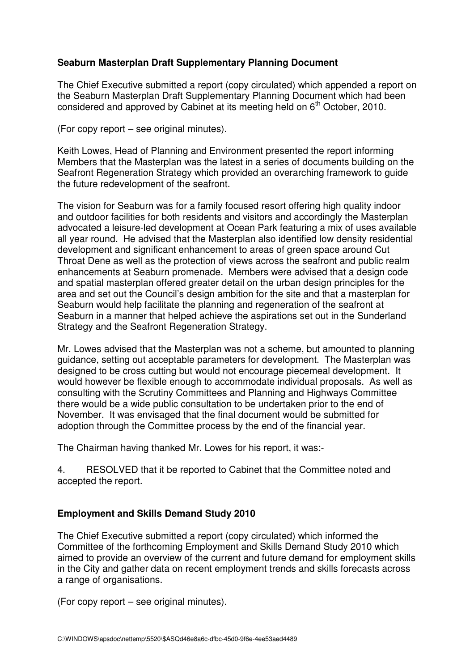# **Seaburn Masterplan Draft Supplementary Planning Document**

The Chief Executive submitted a report (copy circulated) which appended a report on the Seaburn Masterplan Draft Supplementary Planning Document which had been considered and approved by Cabinet at its meeting held on  $6<sup>th</sup>$  October, 2010.

(For copy report – see original minutes).

Keith Lowes, Head of Planning and Environment presented the report informing Members that the Masterplan was the latest in a series of documents building on the Seafront Regeneration Strategy which provided an overarching framework to guide the future redevelopment of the seafront.

The vision for Seaburn was for a family focused resort offering high quality indoor and outdoor facilities for both residents and visitors and accordingly the Masterplan advocated a leisure-led development at Ocean Park featuring a mix of uses available all year round. He advised that the Masterplan also identified low density residential development and significant enhancement to areas of green space around Cut Throat Dene as well as the protection of views across the seafront and public realm enhancements at Seaburn promenade. Members were advised that a design code and spatial masterplan offered greater detail on the urban design principles for the area and set out the Council's design ambition for the site and that a masterplan for Seaburn would help facilitate the planning and regeneration of the seafront at Seaburn in a manner that helped achieve the aspirations set out in the Sunderland Strategy and the Seafront Regeneration Strategy.

Mr. Lowes advised that the Masterplan was not a scheme, but amounted to planning guidance, setting out acceptable parameters for development. The Masterplan was designed to be cross cutting but would not encourage piecemeal development. It would however be flexible enough to accommodate individual proposals. As well as consulting with the Scrutiny Committees and Planning and Highways Committee there would be a wide public consultation to be undertaken prior to the end of November. It was envisaged that the final document would be submitted for adoption through the Committee process by the end of the financial year.

The Chairman having thanked Mr. Lowes for his report, it was:-

4. RESOLVED that it be reported to Cabinet that the Committee noted and accepted the report.

# **Employment and Skills Demand Study 2010**

The Chief Executive submitted a report (copy circulated) which informed the Committee of the forthcoming Employment and Skills Demand Study 2010 which aimed to provide an overview of the current and future demand for employment skills in the City and gather data on recent employment trends and skills forecasts across a range of organisations.

(For copy report – see original minutes).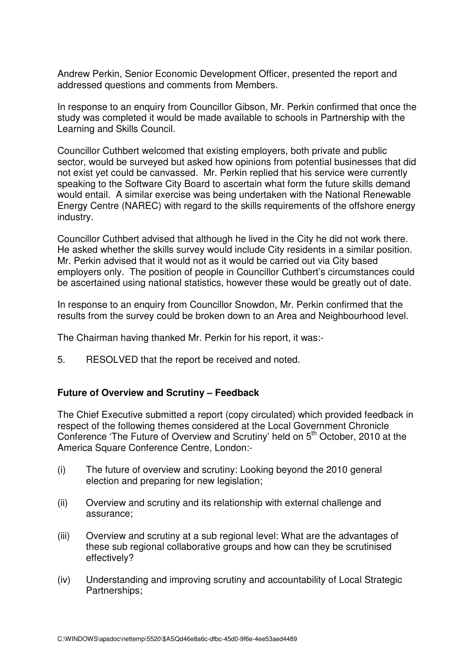Andrew Perkin, Senior Economic Development Officer, presented the report and addressed questions and comments from Members.

In response to an enquiry from Councillor Gibson, Mr. Perkin confirmed that once the study was completed it would be made available to schools in Partnership with the Learning and Skills Council.

Councillor Cuthbert welcomed that existing employers, both private and public sector, would be surveyed but asked how opinions from potential businesses that did not exist yet could be canvassed. Mr. Perkin replied that his service were currently speaking to the Software City Board to ascertain what form the future skills demand would entail. A similar exercise was being undertaken with the National Renewable Energy Centre (NAREC) with regard to the skills requirements of the offshore energy industry.

Councillor Cuthbert advised that although he lived in the City he did not work there. He asked whether the skills survey would include City residents in a similar position. Mr. Perkin advised that it would not as it would be carried out via City based employers only. The position of people in Councillor Cuthbert's circumstances could be ascertained using national statistics, however these would be greatly out of date.

In response to an enquiry from Councillor Snowdon, Mr. Perkin confirmed that the results from the survey could be broken down to an Area and Neighbourhood level.

The Chairman having thanked Mr. Perkin for his report, it was:-

5. RESOLVED that the report be received and noted.

### **Future of Overview and Scrutiny – Feedback**

The Chief Executive submitted a report (copy circulated) which provided feedback in respect of the following themes considered at the Local Government Chronicle Conference 'The Future of Overview and Scrutiny' held on 5<sup>th</sup> October, 2010 at the America Square Conference Centre, London:-

- (i) The future of overview and scrutiny: Looking beyond the 2010 general election and preparing for new legislation;
- (ii) Overview and scrutiny and its relationship with external challenge and assurance;
- (iii) Overview and scrutiny at a sub regional level: What are the advantages of these sub regional collaborative groups and how can they be scrutinised effectively?
- (iv) Understanding and improving scrutiny and accountability of Local Strategic Partnerships;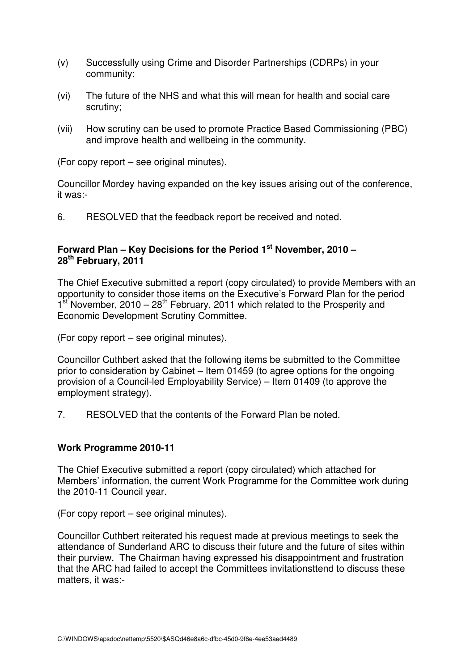- (v) Successfully using Crime and Disorder Partnerships (CDRPs) in your community;
- (vi) The future of the NHS and what this will mean for health and social care scrutiny;
- (vii) How scrutiny can be used to promote Practice Based Commissioning (PBC) and improve health and wellbeing in the community.

(For copy report – see original minutes).

Councillor Mordey having expanded on the key issues arising out of the conference, it was:-

6. RESOLVED that the feedback report be received and noted.

## **Forward Plan – Key Decisions for the Period 1st November, 2010 – 28th February, 2011**

The Chief Executive submitted a report (copy circulated) to provide Members with an opportunity to consider those items on the Executive's Forward Plan for the period  $1<sup>st</sup>$  November, 2010 – 28<sup>th</sup> February, 2011 which related to the Prosperity and Economic Development Scrutiny Committee.

(For copy report – see original minutes).

Councillor Cuthbert asked that the following items be submitted to the Committee prior to consideration by Cabinet – Item 01459 (to agree options for the ongoing provision of a Council-led Employability Service) – Item 01409 (to approve the employment strategy).

7. RESOLVED that the contents of the Forward Plan be noted.

### **Work Programme 2010-11**

The Chief Executive submitted a report (copy circulated) which attached for Members' information, the current Work Programme for the Committee work during the 2010-11 Council year.

(For copy report – see original minutes).

Councillor Cuthbert reiterated his request made at previous meetings to seek the attendance of Sunderland ARC to discuss their future and the future of sites within their purview. The Chairman having expressed his disappointment and frustration that the ARC had failed to accept the Committees invitationsttend to discuss these matters, it was:-